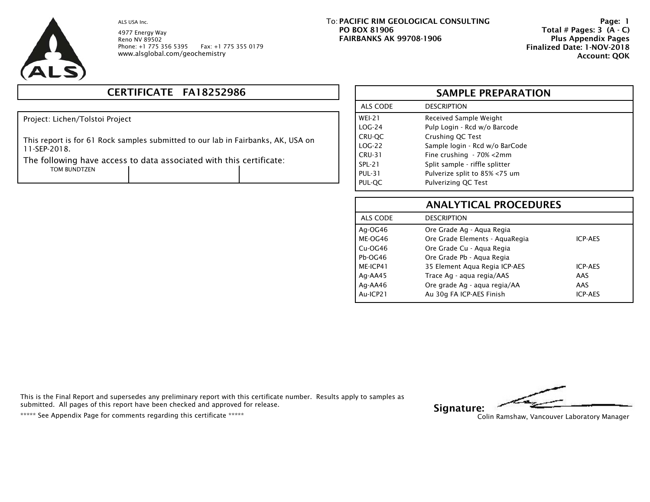

4977 Energy Way Reno NV 89502 Phone: +1 775 356 5395 Fax: +1 775 355 0179 www.alsglobal.com/geochemistry

# **CERTIFICATE FA18252986**

Project: Lichen/Tolstoi Project

This report is for 61 Rock samples submitted to our lab in Fairbanks, AK, USA on 11-SEP-2018.

The following have access to data associated with this certificate:

TOM BUNDTZEN

**PACIFIC RIM GEOLOGICAL CONSULTINGPO BOX 81906 FAIRBANKS AK 99708-1906**   $\overline{\phantom{a}}$  . To:

 **Page: 1 Total # Pages: 3 (A - C) Plus Appendix Pages Finalized Date: 1-NOV-2018 Account: QOK**

|               | <b>SAMPLE PREPARATION</b>      |  |  |  |  |  |  |  |  |  |  |
|---------------|--------------------------------|--|--|--|--|--|--|--|--|--|--|
| ALS CODE      | <b>DESCRIPTION</b>             |  |  |  |  |  |  |  |  |  |  |
| <b>WEI-21</b> | Received Sample Weight         |  |  |  |  |  |  |  |  |  |  |
| $LOG-24$      | Pulp Login - Rcd w/o Barcode   |  |  |  |  |  |  |  |  |  |  |
| CRU-QC        | Crushing QC Test               |  |  |  |  |  |  |  |  |  |  |
| $LOG-22$      | Sample login - Rcd w/o BarCode |  |  |  |  |  |  |  |  |  |  |
| <b>CRU-31</b> | Fine crushing - 70% <2mm       |  |  |  |  |  |  |  |  |  |  |
| <b>SPL-21</b> | Split sample - riffle splitter |  |  |  |  |  |  |  |  |  |  |
| <b>PUL-31</b> | Pulverize split to 85% <75 um  |  |  |  |  |  |  |  |  |  |  |
| PUL-QC        | Pulverizing QC Test            |  |  |  |  |  |  |  |  |  |  |

|           | <b>ANALYTICAL PROCEDURES</b>   |                |
|-----------|--------------------------------|----------------|
| ALS CODE  | <b>DESCRIPTION</b>             |                |
| Ag-OG46   | Ore Grade Ag - Agua Regia      |                |
| ME-OG46   | Ore Grade Elements - AguaRegia | <b>ICP-AES</b> |
| $Cu-OG46$ | Ore Grade Cu - Agua Regia      |                |
| Pb-OG46   | Ore Grade Pb - Agua Regia      |                |
| ME-ICP41  | 35 Element Aqua Regia ICP-AES  | <b>ICP-AES</b> |
| Ag-AA45   | Trace Ag - agua regia/AAS      | AAS            |
| Ag-AA46   | Ore grade Ag - aqua regia/AA   | AAS            |
| Au-ICP21  | Au 30g FA ICP-AES Finish       | <b>ICP-AES</b> |

This is the Final Report and supersedes any preliminary report with this certificate number. Results apply to samples as submitted. All pages of this report have been checked and approved for release. submitted. All pages of this report have been checked and approved for release.<br>\*\*\*\*\* See Appendix Page for comments regarding this certificate \*\*\*\*\* Colin Ramshaw, Vancouver Laboratory Manager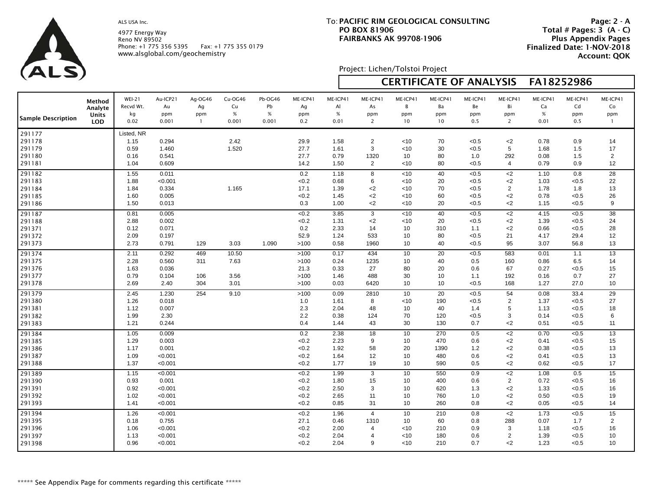4977 Energy Way Reno NV 89502 Phone: +1 775 356 5395 Fax: +1 775 355 0179 www.alsglobal.com/geochemistry

## **PACIFIC RIM GEOLOGICAL CONSULTING**To: **PO BOX 81906FAIRBANKS AK 99708-1906**

 **Page: 2 - A Total # Pages: 3 (A - C) Plus Appendix Pages Finalized Date: 1-NOV-2018 Account: QOK**

Project: Lichen/Tolstoi Project

| $\sqrt{2}$                                     |                                                 |                                            |                                                   |                                      |                                |                                |                                           |                                      |                                                                 |                                         |                                  | <b>CERTIFICATE OF ANALYSIS</b>            |                                           | FA18252986                           |                                           |                                        |
|------------------------------------------------|-------------------------------------------------|--------------------------------------------|---------------------------------------------------|--------------------------------------|--------------------------------|--------------------------------|-------------------------------------------|--------------------------------------|-----------------------------------------------------------------|-----------------------------------------|----------------------------------|-------------------------------------------|-------------------------------------------|--------------------------------------|-------------------------------------------|----------------------------------------|
| Sample Description                             | Method<br>Analyte<br><b>Units</b><br><b>LOD</b> | <b>WEI-21</b><br>Recvd Wt.<br>kg<br>0.02   | Au-ICP21<br>Au<br>ppm<br>0.001                    | Ag-OG46<br>Ag<br>ppm<br>$\mathbf{1}$ | Cu-OG46<br>Cu<br>$\%$<br>0.001 | Pb-OG46<br>Pb<br>$\%$<br>0.001 | ME-ICP41<br>Ag<br>ppm<br>0.2              | ME-ICP41<br>Al<br>$\%$<br>0.01       | ME-ICP41<br>As<br>ppm<br>$\overline{2}$                         | ME-ICP41<br>B<br>ppm<br>10              | ME-ICP41<br>Ba<br>ppm<br>10      | ME-ICP41<br>Be<br>ppm<br>0.5              | ME-ICP41<br>Bi<br>ppm<br>2                | ME-ICP41<br>Ca<br>$\%$<br>0.01       | ME-ICP41<br>Cd<br>ppm<br>0.5              | ME-ICP41<br>Co<br>ppm<br>$\mathbf{1}$  |
| 291177<br>291178<br>291179<br>291180<br>291181 |                                                 | Listed, NR<br>1.15<br>0.59<br>0.16<br>1.04 | 0.294<br>1.460<br>0.541<br>0.609                  |                                      | 2.42<br>1.520                  |                                | 29.9<br>27.7<br>27.7<br>14.2              | 1.58<br>1.61<br>0.79<br>1.50         | $\overline{2}$<br>3<br>1320<br>$\overline{2}$                   | < 10<br>$<$ 10<br>10<br>$<$ 10          | 70<br>30<br>80<br>80             | < 0.5<br>< 0.5<br>1.0<br>< 0.5            | $<$ 2<br>5<br>292<br>$\overline{4}$       | 0.78<br>1.68<br>0.08<br>0.79         | 0.9<br>1.5<br>1.5<br>0.9                  | 14<br>17<br>$\overline{2}$<br>12       |
| 291182<br>291183<br>291184<br>291185<br>291186 |                                                 | 1.55<br>1.88<br>1.84<br>1.60<br>1.50       | 0.011<br>< 0.001<br>0.334<br>0.005<br>0.013       |                                      | 1.165                          |                                | 0.2<br>< 0.2<br>17.1<br>< 0.2<br>0.3      | 1.18<br>0.68<br>1.39<br>1.45<br>1.00 | 8<br>6<br>$<$ 2<br>$<$ 2<br>$<$ 2                               | < 10<br>< 10<br>$<$ 10<br>~10<br>$<$ 10 | 40<br>20<br>70<br>60<br>20       | < 0.5<br>< 0.5<br>< 0.5<br>< 0.5<br>< 0.5 | $<$ 2<br>$<$ 2<br>2<br>$<$ 2<br>$<$ 2     | 1.10<br>1.03<br>1.78<br>0.78<br>1.15 | 0.8<br>< 0.5<br>1.8<br>< 0.5<br>< 0.5     | 28<br>22<br>13<br>26<br>9              |
| 291187<br>291188<br>291371<br>291372<br>291373 |                                                 | 0.81<br>2.88<br>0.12<br>2.09<br>2.73       | 0.005<br>0.002<br>0.071<br>0.197<br>0.791         | 129                                  | 3.03                           | 1.090                          | < 0.2<br>< 0.2<br>0.2<br>52.9<br>>100     | 3.85<br>1.31<br>2.33<br>1.24<br>0.58 | 3<br>$<$ 2<br>14<br>533<br>1960                                 | < 10<br>~10<br>10<br>10<br>10           | 40<br>20<br>310<br>80<br>40      | < 0.5<br>< 0.5<br>1.1<br>< 0.5<br>< 0.5   | $<$ 2<br>$<$ 2<br>$<$ 2<br>21<br>95       | 4.15<br>1.39<br>0.66<br>4.17<br>3.07 | < 0.5<br>< 0.5<br>< 0.5<br>29.4<br>56.8   | 38<br>24<br>28<br>12<br>13             |
| 291374<br>291375<br>291376<br>291377<br>291378 |                                                 | 2.11<br>2.28<br>1.63<br>0.79<br>2.69       | 0.292<br>0.560<br>0.036<br>0.104<br>2.40          | 469<br>311<br>106<br>304             | 10.50<br>7.63<br>3.56<br>3.01  |                                | >100<br>>100<br>21.3<br>>100<br>>100      | 0.17<br>0.24<br>0.33<br>1.46<br>0.03 | 434<br>1235<br>27<br>488<br>6420                                | 10<br>10<br>80<br>30<br>10              | 20<br>40<br>20<br>10<br>10       | < 0.5<br>0.5<br>0.6<br>1.1<br>< 0.5       | 583<br>160<br>67<br>192<br>168            | 0.01<br>0.86<br>0.27<br>0.16<br>1.27 | 1.1<br>6.5<br>< 0.5<br>0.7<br>27.0        | 13<br>14<br>15<br>27<br>10             |
| 291379<br>291380<br>291381<br>291382<br>291383 |                                                 | 2.45<br>1.26<br>1.12<br>1.99<br>1.21       | 1.230<br>0.018<br>0.007<br>2.30<br>0.244          | 254                                  | 9.10                           |                                | >100<br>1.0<br>2.3<br>2.2<br>0.4          | 0.09<br>1.61<br>2.04<br>0.38<br>1.44 | 2810<br>8<br>48<br>124<br>43                                    | 10<br>$<$ 10<br>10<br>70<br>30          | 20<br>190<br>40<br>120<br>130    | < 0.5<br>< 0.5<br>1.4<br>< 0.5<br>0.7     | 54<br>2<br>5<br>3<br>$<$ 2                | 0.08<br>1.37<br>1.13<br>0.14<br>0.51 | 33.4<br>< 0.5<br>< 0.5<br>< 0.5<br>< 0.5  | 29<br>27<br>18<br>6<br>11              |
| 291384<br>291385<br>291386<br>291387<br>291388 |                                                 | 1.05<br>1.29<br>1.17<br>1.09<br>1.37       | 0.009<br>0.003<br>0.001<br>< 0.001<br>< 0.001     |                                      |                                |                                | 0.2<br>< 0.2<br>< 0.2<br>< 0.2<br>< 0.2   | 2.38<br>2.23<br>1.92<br>1.64<br>1.77 | 18<br>9<br>58<br>12<br>19                                       | 10<br>10<br>20<br>10<br>10              | 270<br>470<br>1390<br>480<br>590 | 0.5<br>0.6<br>1.2<br>0.6<br>0.5           | $<$ 2<br>$<$ 2<br>$<$ 2<br>$<$ 2<br>$<$ 2 | 0.70<br>0.41<br>0.38<br>0.41<br>0.62 | < 0.5<br>< 0.5<br>< 0.5<br>< 0.5<br>< 0.5 | 13<br>15<br>13<br>13<br>17             |
| 291389<br>291390<br>291391<br>291392<br>291393 |                                                 | 1.15<br>0.93<br>0.92<br>1.02<br>1.41       | < 0.001<br>0.001<br>< 0.001<br>< 0.001<br>< 0.001 |                                      |                                |                                | < 0.2<br>< 0.2<br>< 0.2<br>< 0.2<br>< 0.2 | 1.99<br>1.80<br>2.50<br>2.65<br>0.85 | 3<br>15<br>3<br>11<br>31                                        | 10<br>10<br>10<br>10<br>10              | 550<br>400<br>620<br>760<br>260  | 0.9<br>0.6<br>1.3<br>1.0<br>0.8           | $<$ 2<br>2<br>$<$ 2<br>$<$ 2<br>$<$ 2     | 1.08<br>0.72<br>1.33<br>0.50<br>0.05 | 0.5<br>< 0.5<br>< 0.5<br>< 0.5<br>< 0.5   | 15<br>16<br>16<br>19<br>14             |
| 291394<br>291395<br>291396<br>291397<br>291398 |                                                 | 1.26<br>0.18<br>1.06<br>1.13<br>0.96       | < 0.001<br>0.755<br>< 0.001<br>< 0.001<br>< 0.001 |                                      |                                |                                | < 0.2<br>27.1<br>< 0.2<br>< 0.2<br>< 0.2  | 1.96<br>0.46<br>2.00<br>2.04<br>2.04 | $\overline{4}$<br>1310<br>$\overline{4}$<br>$\overline{4}$<br>9 | 10<br>10<br>< 10<br>$<$ 10<br>$<$ 10    | 210<br>60<br>210<br>180<br>210   | 0.8<br>0.8<br>0.9<br>0.6<br>0.7           | $<$ 2<br>288<br>3<br>2<br>$<$ 2           | 1.73<br>0.07<br>1.18<br>1.39<br>1.23 | < 0.5<br>1.7<br>< 0.5<br>< 0.5<br>< 0.5   | 15<br>$\overline{2}$<br>16<br>10<br>10 |

Г

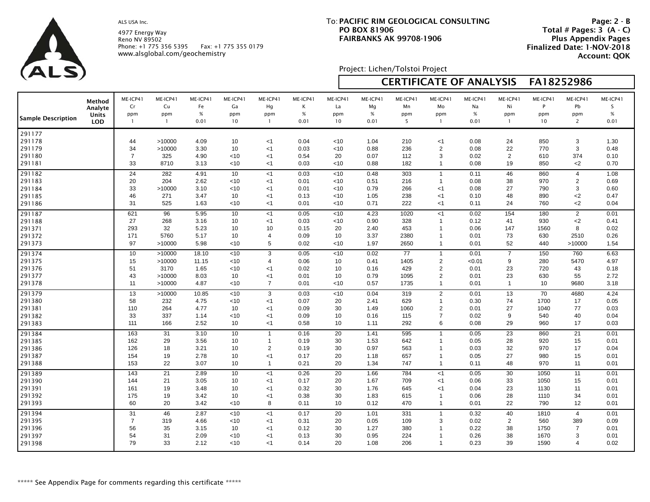4977 Energy Way Reno NV 89502 Phone: +1 775 356 5395 Fax: +1 775 355 0179 www.alsglobal.com/geochemistry

## **PACIFIC RIM GEOLOGICAL CONSULTING**To: **PO BOX 81906FAIRBANKS AK 99708-1906**

 **Page: 2 - B Total # Pages: 3 (A - C) Plus Appendix Pages Finalized Date: 1-NOV-2018 Account: QOK**

Project: Lichen/Tolstoi Project

| $\sqrt{2}$         |                            |                       |                       |                        |                       |                       |                       |                       | <b>CERTIFICATE OF ANALYSIS</b><br>FA18252986 |                       |                       |                        |                       |                      |                         |                       |  |
|--------------------|----------------------------|-----------------------|-----------------------|------------------------|-----------------------|-----------------------|-----------------------|-----------------------|----------------------------------------------|-----------------------|-----------------------|------------------------|-----------------------|----------------------|-------------------------|-----------------------|--|
|                    | Method<br>Analyte<br>Units | ME-ICP41<br>Cr<br>ppm | ME-ICP41<br>Cu<br>ppm | ME-ICP41<br>Fe<br>$\%$ | ME-ICP41<br>Ga<br>ppm | ME-ICP41<br>Hg<br>ppm | ME-ICP41<br>К<br>$\%$ | ME-ICP41<br>La<br>ppm | ME-ICP41<br>Mg<br>$\%$                       | ME-ICP41<br>Mn<br>ppm | ME-ICP41<br>Mo<br>ppm | ME-ICP41<br>Na<br>$\%$ | ME-ICP41<br>Ni<br>ppm | ME-ICP41<br>P<br>ppm | ME-ICP41<br>Pb<br>ppm   | ME-ICP41<br>S<br>$\%$ |  |
| Sample Description | <b>LOD</b>                 | $\mathbf{1}$          | $\overline{1}$        | 0.01                   | 10                    | $\overline{1}$        | 0.01                  | 10                    | 0.01                                         | 5                     | $\overline{1}$        | 0.01                   | $\mathbf{1}$          | 10                   | $\overline{2}$          | 0.01                  |  |
| 291177             |                            |                       |                       |                        |                       |                       |                       |                       |                                              |                       |                       |                        |                       |                      |                         |                       |  |
| 291178             |                            | 44                    | >10000                | 4.09                   | 10                    | $<$ 1                 | 0.04                  | < 10                  | 1.04                                         | 210                   | < 1                   | 0.08                   | 24                    | 850                  | 3                       | 1.30                  |  |
| 291179             |                            | 34                    | >10000                | 3.30                   | 10                    | <1                    | 0.03                  | <10                   | 0.88                                         | 236                   | 2                     | 0.08                   | 22                    | 770                  | 3                       | 0.48                  |  |
| 291180             |                            | 7                     | 325                   | 4.90                   | $<$ 10                | <1                    | 0.54                  | 20                    | 0.07                                         | 112                   | 3                     | 0.02                   | $\overline{2}$        | 610                  | 374                     | 0.10                  |  |
| 291181             |                            | 33                    | 8710                  | 3.13                   | ~10                   | $<$ 1                 | 0.03                  | < 10                  | 0.88                                         | 182                   | $\mathbf{1}$          | 0.08                   | 19                    | 850                  | $<$ 2                   | 0.70                  |  |
| 291182             |                            | 24                    | 282                   | 4.91                   | 10                    | < 1                   | 0.03                  | $<$ 10                | 0.48                                         | 303                   | $\mathbf{1}$          | 0.11                   | 46                    | 860                  | $\overline{4}$          | 1.08                  |  |
| 291183             |                            | 20                    | 204                   | 2.62                   | < 10                  | $<$ 1                 | 0.01                  | < 10                  | 0.51                                         | 216                   | $\mathbf{1}$          | 0.08                   | 38                    | 970                  | $\overline{2}$          | 0.69                  |  |
| 291184             |                            | 33                    | >10000                | 3.10                   | $<$ 10                | $<$ 1                 | 0.01                  | <10                   | 0.79                                         | 266                   | $<$ 1                 | 0.08                   | 27                    | 790                  | 3                       | 0.60                  |  |
| 291185             |                            | 46                    | 271                   | 3.47                   | 10                    | <1                    | 0.13                  | ~10                   | 1.05                                         | 238                   | $<$ 1                 | 0.10                   | 48                    | 890                  | $<$ 2                   | 0.47                  |  |
| 291186             |                            | 31                    | 525                   | 1.63                   | $<$ 10                | $<$ 1                 | 0.01                  | $<$ 10                | 0.71                                         | 222                   | $<$ 1                 | 0.11                   | 24                    | 760                  | $2$                     | 0.04                  |  |
| 291187             |                            | 621                   | 96                    | 5.95                   | 10                    | $<$ 1                 | 0.05                  | $<$ 10                | 4.23                                         | 1020                  | $<$ 1                 | 0.02                   | 154                   | 180                  | 2                       | 0.01                  |  |
| 291188             |                            | 27                    | 268                   | 3.16                   | 10                    | $<$ 1                 | 0.03                  | < 10                  | 0.90                                         | 328                   | $\mathbf{1}$          | 0.12                   | 41                    | 930                  | $<$ 2                   | 0.41                  |  |
| 291371             |                            | 293                   | 32                    | 5.23                   | 10                    | 10                    | 0.15                  | 20                    | 2.40                                         | 453                   | $\overline{1}$        | 0.06                   | 147                   | 1560                 | 8                       | 0.02                  |  |
| 291372             |                            | 171                   | 5760                  | 5.17                   | 10                    | 4                     | 0.09                  | 10                    | 3.37                                         | 2380                  | $\mathbf{1}$          | 0.01                   | 73                    | 630                  | 2510                    | 0.26                  |  |
| 291373             |                            | 97                    | >10000                | 5.98                   | $<$ 10                | 5                     | 0.02                  | < 10                  | 1.97                                         | 2650                  | $\mathbf{1}$          | 0.01                   | 52                    | 440                  | >10000                  | 1.54                  |  |
| 291374             |                            | 10                    | >10000                | 18.10                  | < 10                  | 3                     | 0.05                  | < 10                  | 0.02                                         | 77                    | $\mathbf{1}$          | 0.01                   | $\overline{7}$        | 150                  | 760                     | 6.63                  |  |
| 291375             |                            | 15                    | >10000                | 11.15                  | $<$ 10                | 4                     | 0.06                  | 10                    | 0.41                                         | 1405                  | $\overline{2}$        | < 0.01                 | 9                     | 280                  | 5470                    | 4.97                  |  |
| 291376             |                            | 51                    | 3170                  | 1.65                   | < 10                  | <1                    | 0.02                  | 10                    | 0.16                                         | 429                   | $\overline{2}$        | 0.01                   | 23                    | 720                  | 43                      | 0.18                  |  |
| 291377             |                            | 43                    | >10000                | 8.03                   | 10                    | <1                    | 0.01                  | 10                    | 0.79                                         | 1095                  | $\overline{2}$        | 0.01                   | 23                    | 630                  | 55                      | 2.72                  |  |
| 291378             |                            | 11                    | >10000                | 4.87                   | < 10                  | $\overline{7}$        | 0.01                  | < 10                  | 0.57                                         | 1735                  | $\mathbf{1}$          | 0.01                   | $\overline{1}$        | 10                   | 9680                    | 3.18                  |  |
| 291379             |                            | 13                    | >10000                | 10.85                  | < 10                  | 3                     | 0.03                  | < 10                  | 0.04                                         | 319                   | 2                     | 0.01                   | 13                    | 70                   | 4680                    | 4.24                  |  |
| 291380             |                            | 58                    | 232                   | 4.75                   | $<$ 10                | $<$ 1                 | 0.07                  | 20                    | 2.41                                         | 629                   | $\mathbf{1}$          | 0.30                   | 74                    | 1700                 | 17                      | 0.05                  |  |
| 291381             |                            | 110                   | 264                   | 4.77                   | 10                    | $<$ 1                 | 0.09                  | 30                    | 1.49                                         | 1060                  | $\overline{2}$        | 0.01                   | 27                    | 1040                 | 77                      | 0.03                  |  |
| 291382             |                            | 33                    | 337                   | 1.14                   | $<$ 10                | $<$ 1                 | 0.09                  | 10                    | 0.16                                         | 115                   | $\overline{7}$        | 0.02                   | 9                     | 540                  | 40                      | 0.04                  |  |
| 291383             |                            | 111                   | 166                   | 2.52                   | 10                    | $<$ 1                 | 0.58                  | 10                    | 1.11                                         | 292                   | 6                     | 0.08                   | 29                    | 960                  | 17                      | 0.03                  |  |
| 291384             |                            | 163                   | 31                    | 3.10                   | 10                    | $\mathbf{1}$          | 0.16                  | 20                    | 1.41                                         | 595                   | $\mathbf{1}$          | 0.05                   | 23                    | 860                  | 21                      | 0.01                  |  |
| 291385             |                            | 162                   | 29                    | 3.56                   | 10                    | $\mathbf{1}$          | 0.19                  | 30                    | 1.53                                         | 642                   | $\mathbf{1}$          | 0.05                   | 28                    | 920                  | 15                      | 0.01                  |  |
| 291386             |                            | 126                   | 18                    | 3.21                   | 10                    | $\overline{2}$        | 0.19                  | 30                    | 0.97                                         | 563                   | $\mathbf{1}$          | 0.03                   | 32                    | 970                  | 17                      | 0.04                  |  |
| 291387             |                            | 154                   | 19                    | 2.78                   | 10                    | < 1                   | 0.17                  | 20                    | 1.18                                         | 657                   | $\mathbf{1}$          | 0.05                   | 27                    | 980                  | 15                      | 0.01                  |  |
| 291388             |                            | 153                   | 22                    | 3.07                   | 10                    | $\mathbf{1}$          | 0.21                  | 20                    | 1.34                                         | 747                   | $\mathbf{1}$          | 0.11                   | 48                    | 970                  | 11                      | 0.01                  |  |
| 291389             |                            | 143                   | 21                    | 2.89                   | 10                    | < 1                   | 0.26                  | 20                    | 1.66                                         | 784                   | < 1                   | 0.05                   | 30                    | 1050                 | 11                      | 0.01                  |  |
| 291390             |                            | 144                   | 21                    | 3.05                   | 10                    | $<$ 1                 | 0.17                  | 20                    | 1.67                                         | 709                   | $<$ 1                 | 0.06                   | 33                    | 1050                 | 15                      | 0.01                  |  |
| 291391             |                            | 161                   | 19                    | 3.48                   | 10                    | <1                    | 0.32                  | 30                    | 1.76                                         | 645                   | $<$ 1                 | 0.04                   | 23                    | 1130                 | 11                      | 0.01                  |  |
| 291392             |                            | 175                   | 19                    | 3.42                   | 10                    | $<$ 1                 | 0.38                  | 30                    | 1.83                                         | 615                   | $\mathbf{1}$          | 0.06                   | 28                    | 1110                 | 34                      | 0.01                  |  |
| 291393             |                            | 60                    | 20                    | 3.42                   | $<$ 10                | 8                     | 0.11                  | 10                    | 0.12                                         | 470                   | $\mathbf{1}$          | 0.01                   | 22                    | 790                  | 12                      | 0.01                  |  |
| 291394             |                            | 31                    | 46                    | 2.87                   | $<$ 10                | < 1                   | 0.17                  | 20                    | 1.01                                         | 331                   | $\mathbf{1}$          | 0.32                   | 40                    | 1810                 | 4                       | 0.01                  |  |
| 291395             |                            | $\overline{7}$        | 319                   | 4.66                   | < 10                  | $<$ 1                 | 0.31                  | 20                    | 0.05                                         | 109                   | 3                     | 0.02                   | 2                     | 560                  | 389                     | 0.09                  |  |
| 291396             |                            | 56                    | 35                    | 3.15                   | 10                    | $<$ 1                 | 0.12                  | 30                    | 1.27                                         | 380                   | $\mathbf{1}$          | 0.22                   | 38                    | 1750                 | $\overline{7}$          | 0.01                  |  |
| 291397             |                            | 54                    | 31                    | 2.09                   | < 10                  | <1                    | 0.13                  | 30                    | 0.95                                         | 224                   | $\mathbf{1}$          | 0.26                   | 38                    | 1670                 | 3                       | 0.01                  |  |
| 291398             |                            | 79                    | 33                    | 2.12                   | <10                   | $<$ 1                 | 0.14                  | 20                    | 1.08                                         | 206                   | $\mathbf{1}$          | 0.23                   | 39                    | 1590                 | $\overline{\mathbf{4}}$ | 0.02                  |  |

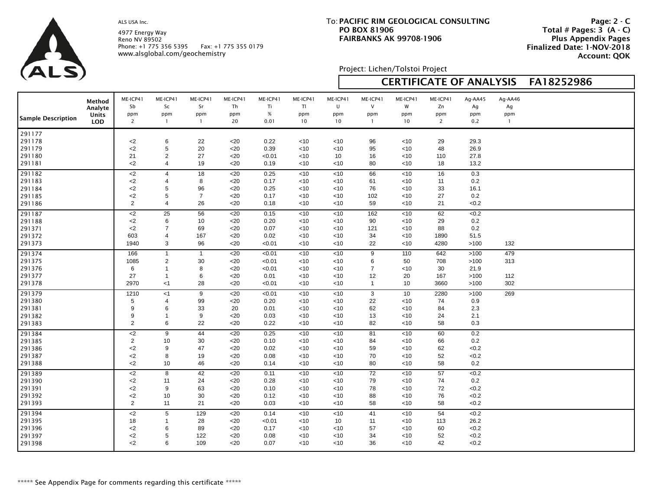ALS

4977 Energy Way Reno NV 89502 Phone: +1 775 356 5395 Fax: +1 775 355 0179 www.alsglobal.com/geochemistry

# **PACIFIC RIM GEOLOGICAL CONSULTING**To: **PO BOX 81906FAIRBANKS AK 99708-1906**

 **Page: 2 - C Total # Pages: 3 (A - C) Plus Appendix Pages Finalized Date: 1-NOV-2018 Account: QOK**

Project: Lichen/Tolstoi Project

| $\sqrt{2}$                                     |                                          |                                                             |                                                                           |                                         |                                        |                                              |                                                |                                           |                                                | <b>CERTIFICATE OF ANALYSIS</b>            |                                         | FA18252986                             |                                      |  |
|------------------------------------------------|------------------------------------------|-------------------------------------------------------------|---------------------------------------------------------------------------|-----------------------------------------|----------------------------------------|----------------------------------------------|------------------------------------------------|-------------------------------------------|------------------------------------------------|-------------------------------------------|-----------------------------------------|----------------------------------------|--------------------------------------|--|
| <b>Sample Description</b>                      | Method<br>Analyte<br>Units<br><b>LOD</b> | ME-ICP41<br>Sb<br>ppm<br>$\overline{2}$                     | ME-ICP41<br>Sc<br>ppm<br>$\overline{1}$                                   | ME-ICP41<br>Sr<br>ppm<br>$\mathbf{1}$   | ME-ICP41<br>Th<br>ppm<br>20            | ME-ICP41<br>Ti<br>$\%$<br>0.01               | ME-ICP41<br>TI<br>ppm<br>10                    | ME-ICP41<br>U<br>ppm<br>10                | ME-ICP41<br>$\vee$<br>ppm<br>$\mathbf{1}$      | ME-ICP41<br>W<br>ppm<br>10                | ME-ICP41<br>Zn<br>ppm<br>$\overline{2}$ | Ag-AA45<br>Ag<br>ppm<br>0.2            | Ag-AA46<br>Ag<br>ppm<br>$\mathbf{1}$ |  |
| 291177<br>291178<br>291179                     |                                          | $<$ 2<br>$<$ 2<br>21                                        | 6<br>5<br>$\overline{2}$                                                  | 22<br>20<br>27                          | $20$<br>$<$ 20<br>$20$                 | 0.22<br>0.39                                 | $<$ 10<br>$<$ 10                               | $<$ 10<br><10<br>10                       | 96<br>95                                       | $<$ 10<br><10                             | 29<br>48<br>110                         | 29.3<br>26.9<br>27.8                   |                                      |  |
| 291180<br>291181                               |                                          | $<$ 2                                                       | $\overline{4}$                                                            | 19                                      | $20$                                   | < 0.01<br>0.19                               | $<$ 10<br><10                                  | $<$ 10                                    | 16<br>80                                       | $<$ 10<br>$<$ 10                          | 18                                      | 13.2                                   |                                      |  |
| 291182<br>291183<br>291184<br>291185<br>291186 |                                          | $<$ 2<br>$<$ 2<br>$<$ 2<br>$<$ 2<br>2                       | $\overline{4}$<br>$\overline{4}$<br>5<br>5<br>$\overline{4}$              | 18<br>8<br>96<br>$\overline{7}$<br>26   | $20$<br>$20$<br>$20$<br>$20$<br>$20$   | 0.25<br>0.17<br>0.25<br>0.17<br>0.18         | <10<br>$<$ 10<br>$<$ 10<br><10<br>$<$ 10       | $<$ 10<br>< 10<br><10<br>$<$ 10<br>$<$ 10 | 66<br>61<br>76<br>102<br>59                    | <10<br>< 10<br>$<$ 10<br><10<br>$<$ 10    | 16<br>11<br>33<br>27<br>21              | 0.3<br>0.2<br>16.1<br>0.2<br>< 0.2     |                                      |  |
| 291187<br>291188<br>291371<br>291372<br>291373 |                                          | $<$ 2<br>$<$ 2<br>$<$ 2<br>603<br>1940                      | 25<br>6<br>$\overline{7}$<br>$\overline{4}$<br>3                          | 56<br>10<br>69<br>167<br>96             | $20$<br>$20$<br>$20$<br>$20$<br>$<$ 20 | 0.15<br>0.20<br>0.07<br>0.02<br>< 0.01       | $<$ 10<br>$<$ 10<br>$<$ 10<br><10<br><10       | $<$ 10<br>$<$ 10<br>< 10<br><10<br><10    | 162<br>90<br>121<br>34<br>22                   | <10<br>$<$ 10<br>< 10<br>$<$ 10<br>$<$ 10 | 62<br>29<br>88<br>1890<br>4280          | <0.2<br>0.2<br>0.2<br>51.5<br>>100     | 132                                  |  |
| 291374<br>291375<br>291376<br>291377<br>291378 |                                          | 166<br>1085<br>6<br>27<br>2970                              | $\mathbf{1}$<br>$\overline{2}$<br>$\mathbf{1}$<br>$\overline{1}$<br>$<$ 1 | $\mathbf{1}$<br>30<br>8<br>$\,6$<br>28  | $20$<br>$20$<br>$20$<br>$20$<br>$20$   | < 0.01<br>< 0.01<br>< 0.01<br>0.01<br>< 0.01 | $<$ 10<br>$<$ 10<br>$<$ 10<br>$<$ 10<br>$<$ 10 | < 10<br><10<br><10<br>~10<br>~10          | 9<br>6<br>$\overline{7}$<br>12<br>$\mathbf{1}$ | 110<br>50<br><10<br>20<br>10              | 642<br>708<br>30<br>167<br>3660         | >100<br>>100<br>21.9<br>>100<br>>100   | 479<br>313<br>112<br>302             |  |
| 291379<br>291380<br>291381<br>291382<br>291383 |                                          | 1210<br>$\sqrt{5}$<br>$9\,$<br>9<br>2                       | $<$ 1<br>$\overline{4}$<br>6<br>$\mathbf{1}$<br>6                         | 9<br>99<br>33<br>$\boldsymbol{9}$<br>22 | $<$ 20<br>$20$<br>20<br>$20$<br>$20$   | < 0.01<br>0.20<br>0.01<br>0.03<br>0.22       | $<$ 10<br>$<$ 10<br>$<$ 10<br>$<$ 10<br>$<$ 10 | $<$ 10<br>< 10<br>~10<br>~10<br>< 10      | 3<br>22<br>62<br>13<br>82                      | 10<br>$<$ 10<br>$<$ 10<br><10<br>$<$ 10   | 2280<br>74<br>84<br>24<br>58            | >100<br>0.9<br>2.3<br>2.1<br>0.3       | 269                                  |  |
| 291384<br>291385<br>291386<br>291387<br>291388 |                                          | $<$ 2<br>$\overline{2}$<br>$<$ 2<br>$<$ 2<br>$<$ 2          | 9<br>10<br>9<br>8<br>10                                                   | 44<br>30<br>47<br>19<br>46              | $20$<br>$20$<br>$20$<br>$20$<br>$20$   | 0.25<br>0.10<br>0.02<br>0.08<br>0.14         | <10<br>$<$ 10<br>$<$ 10<br>$<$ 10<br><10       | < 10<br><10<br><10<br><10<br>$<$ 10       | 81<br>84<br>59<br>70<br>80                     | <10<br>$<$ 10<br>$<$ 10<br>$<$ 10<br><10  | 60<br>66<br>62<br>52<br>58              | 0.2<br>0.2<br>< 0.2<br>< 0.2<br>0.2    |                                      |  |
| 291389<br>291390<br>291391<br>291392<br>291393 |                                          | $\overline{c}$<br>$<$ 2<br>$<$ 2<br>$<$ 2<br>$\overline{2}$ | 8<br>11<br>9<br>10<br>11                                                  | 42<br>24<br>63<br>30<br>21              | $20$<br>$20$<br>$20$<br>$20$<br>$20$   | 0.11<br>0.28<br>0.10<br>0.12<br>0.03         | $<$ 10<br>$<$ 10<br><10<br>$<$ 10<br>$<$ 10    | $<$ 10<br>< 10<br>$<$ 10<br>< 10<br>< 10  | 72<br>79<br>78<br>88<br>58                     | $<$ 10<br>< 10<br><10<br>$<$ 10<br>< 10   | 57<br>74<br>72<br>76<br>58              | <0.2<br>0.2<br>< 0.2<br><0.2<br><0.2   |                                      |  |
| 291394<br>291395<br>291396<br>291397<br>291398 |                                          | $<$ 2<br>18<br>${<}2$<br>$<$ 2<br>$<$ 2                     | 5<br>1<br>6<br>5<br>6                                                     | 129<br>28<br>89<br>122<br>109           | $20$<br>$20$<br>$20$<br>$20$<br>$20$   | 0.14<br>< 0.01<br>0.17<br>0.08<br>0.07       | <10<br><10<br><10<br><10<br>$<$ 10             | < 10<br>10<br><10<br>$<$ 10<br>$<$ 10     | 41<br>11<br>57<br>34<br>36                     | $<$ 10<br><10<br>< 10<br><10<br>$<$ 10    | 54<br>113<br>60<br>52<br>42             | <0.2<br>26.2<br><0.2<br>< 0.2<br>< 0.2 |                                      |  |

Г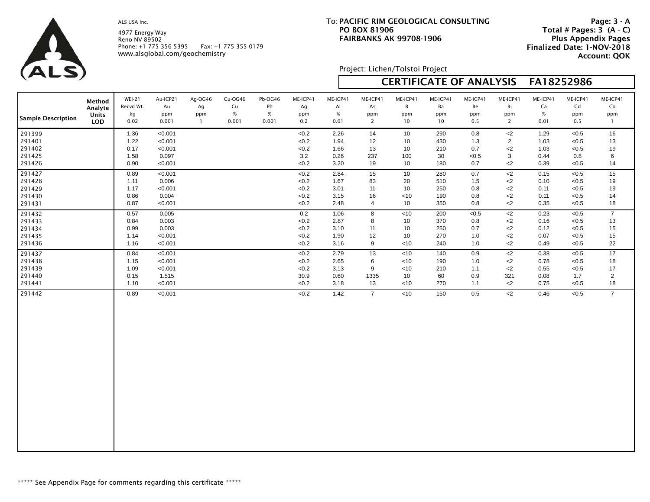4977 Energy Way Reno NV 89502 Phone: +1 775 356 5395 Fax: +1 775 355 0179 www.alsglobal.com/geochemistry

# **PACIFIC RIM GEOLOGICAL CONSULTING**To: **PO BOX 81906FAIRBANKS AK 99708-1906**

 **Page: 3 - A Total # Pages: 3 (A - C) Plus Appendix Pages Finalized Date: 1-NOV-2018 Account: QOK**

Project: Lichen/Tolstoi Project

| $\sqrt{2}$                                     |                                          |                                          |                                                   |                                      |                                |                                |                                           |                                      |                                         |                                         |                                 | <b>CERTIFICATE OF ANALYSIS</b>    |                                                    | FA18252986                           |                                                  |                                        |
|------------------------------------------------|------------------------------------------|------------------------------------------|---------------------------------------------------|--------------------------------------|--------------------------------|--------------------------------|-------------------------------------------|--------------------------------------|-----------------------------------------|-----------------------------------------|---------------------------------|-----------------------------------|----------------------------------------------------|--------------------------------------|--------------------------------------------------|----------------------------------------|
| <b>Sample Description</b>                      | Method<br>Analyte<br>Units<br><b>LOD</b> | <b>WEI-21</b><br>Recvd Wt.<br>kg<br>0.02 | Au-ICP21<br>Au<br>ppm<br>0.001                    | Ag-OG46<br>Ag<br>ppm<br>$\mathbf{1}$ | Cu-OG46<br>Cu<br>$\%$<br>0.001 | Pb-OG46<br>Pb<br>$\%$<br>0.001 | ME-ICP41<br>Ag<br>ppm<br>0.2              | ME-ICP41<br>Al<br>$\%$<br>0.01       | ME-ICP41<br>As<br>ppm<br>$\overline{2}$ | ME-ICP41<br>B<br>ppm<br>10              | ME-ICP41<br>Ba<br>ppm<br>10     | ME-ICP41<br>Be<br>ppm<br>0.5      | ME-ICP41<br>Bi<br>ppm<br>$\overline{2}$            | ME-ICP41<br>Ca<br>$\%$<br>0.01       | ME-ICP41<br>Cd<br>ppm<br>0.5                     | ME-ICP41<br>Co<br>ppm<br>$\mathbf{1}$  |
| 291399<br>291401<br>291402<br>291425<br>291426 |                                          | 1.36<br>1.22<br>0.17<br>1.58<br>0.90     | < 0.001<br>< 0.001<br>< 0.001<br>0.097<br>< 0.001 |                                      |                                |                                | < 0.2<br>< 0.2<br>< 0.2<br>3.2<br>< 0.2   | 2.26<br>1.94<br>1.66<br>0.26<br>3.20 | 14<br>12<br>13<br>237<br>19             | 10<br>10<br>10<br>100<br>10             | 290<br>430<br>210<br>30<br>180  | 0.8<br>1.3<br>0.7<br>< 0.5<br>0.7 | $<$ 2<br>$\overline{2}$<br>$<$ 2<br>3<br>${<}2$    | 1.29<br>1.03<br>1.03<br>0.44<br>0.39 | < 0.5<br>< 0.5<br>< 0.5<br>0.8<br>< 0.5          | 16<br>13<br>19<br>6<br>14              |
| 291427<br>291428<br>291429<br>291430<br>291431 |                                          | 0.89<br>1.11<br>1.17<br>0.86<br>0.87     | < 0.001<br>0.006<br>< 0.001<br>0.004<br>< 0.001   |                                      |                                |                                | < 0.2<br>< 0.2<br>< 0.2<br>< 0.2<br>< 0.2 | 2.84<br>1.67<br>3.01<br>3.15<br>2.48 | 15<br>83<br>11<br>16<br>$\overline{4}$  | 10<br>20<br>10<br>$<$ 10<br>10          | 280<br>510<br>250<br>190<br>350 | 0.7<br>1.5<br>0.8<br>0.8<br>0.8   | $<$ 2<br>${<}2$<br>$<$ 2<br>$<$ 2<br>$<$ 2         | 0.15<br>0.10<br>0.11<br>0.11<br>0.35 | < 0.5<br>$<0.5$<br>< 0.5<br>< 0.5<br>< 0.5       | 15<br>19<br>19<br>14<br>18             |
| 291432<br>291433<br>291434<br>291435<br>291436 |                                          | 0.57<br>0.84<br>0.99<br>1.14<br>1.16     | 0.005<br>0.003<br>0.003<br>< 0.001<br>< 0.001     |                                      |                                |                                | 0.2<br>< 0.2<br>< 0.2<br>< 0.2<br>< 0.2   | 1.06<br>2.87<br>3.10<br>1.90<br>3.16 | 8<br>8<br>11<br>12<br>9                 | $<$ 10<br>10<br>10<br>10<br>$<$ 10      | 200<br>370<br>250<br>270<br>240 | < 0.5<br>0.8<br>0.7<br>1.0<br>1.0 | $\overline{c}$<br>$<$ 2<br>$<$ 2<br>$<$ 2<br>$<$ 2 | 0.23<br>0.16<br>0.12<br>0.07<br>0.49 | < 0.5<br>< 0.5<br>< 0.5<br>< 0.5<br>< 0.5        | $\overline{7}$<br>13<br>15<br>15<br>22 |
| 291437<br>291438<br>291439<br>291440<br>291441 |                                          | 0.84<br>1.15<br>1.09<br>0.15<br>1.10     | < 0.001<br>< 0.001<br>< 0.001<br>1.515<br>< 0.001 |                                      |                                |                                | <0.2<br>< 0.2<br>< 0.2<br>30.9<br>< 0.2   | 2.79<br>2.65<br>3.13<br>0.60<br>3.18 | 13<br>6<br>9<br>1335<br>13              | <10<br>$<$ 10<br>$<$ 10<br>10<br>$<$ 10 | 140<br>190<br>210<br>60<br>270  | 0.9<br>1.0<br>1.1<br>0.9<br>1.1   | $\overline{c}$<br>$<$ 2<br>$<$ 2<br>321<br>$<$ 2   | 0.38<br>0.78<br>0.55<br>0.08<br>0.75 | $\overline{5}$<br>< 0.5<br>< 0.5<br>1.7<br>< 0.5 | 17<br>18<br>17<br>$\overline{2}$<br>18 |
| 291442                                         |                                          | 0.89                                     | < 0.001                                           |                                      |                                |                                | < 0.2                                     | 1.42                                 | $\overline{7}$                          | <10                                     | 150                             | 0.5                               | $<$ 2                                              | 0.46                                 | < 0.5                                            | $\overline{7}$                         |

 $\Box$ 

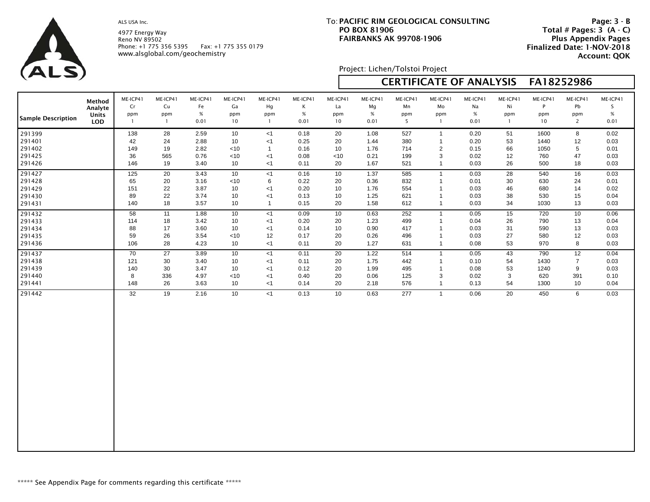ALS

4977 Energy Way Reno NV 89502 Phone: +1 775 356 5395 Fax: +1 775 355 0179 www.alsglobal.com/geochemistry

# **PACIFIC RIM GEOLOGICAL CONSULTING**To: **PO BOX 81906FAIRBANKS AK 99708-1906**

 **Page: 3 - B Total # Pages: 3 (A - C) Plus Appendix Pages Finalized Date: 1-NOV-2018 Account: QOK**

Project: Lichen/Tolstoi Project

| $\vee$ $\sim$ $\sim$ $\vee$ |            |                |              |          |          |                |          |                 |          |          |                | <b>CERTIFICATE OF ANALYSIS</b> |                | FA18252986 |                |          |
|-----------------------------|------------|----------------|--------------|----------|----------|----------------|----------|-----------------|----------|----------|----------------|--------------------------------|----------------|------------|----------------|----------|
| <b>Sample Description</b>   | Method     | ME-ICP41       | ME-ICP41     | ME-ICP41 | ME-ICP41 | ME-ICP41       | ME-ICP41 | ME-ICP41        | ME-ICP41 | ME-ICP41 | ME-ICP41       | ME-ICP41                       | ME-ICP41       | ME-ICP41   | ME-ICP41       | ME-ICP41 |
|                             | Analyte    | Cr             | Cu           | Fe       | Ga       | Hg             | К        | La              | Mg       | Mn       | Mo             | Na                             | Ni             | P          | Pb             | S        |
|                             | Units      | ppm            | ppm          | $\%$     | ppm      | ppm            | $\%$     | ppm             | $\%$     | ppm      | ppm            | $\%$                           | ppm            | ppm        | ppm            | $\%$     |
|                             | <b>LOD</b> | $\overline{1}$ | $\mathbf{1}$ | 0.01     | 10       | $\overline{1}$ | 0.01     | 10              | 0.01     | 5        | $\overline{1}$ | 0.01                           | $\overline{1}$ | 10         | $\overline{2}$ | 0.01     |
| 291399                      |            | 138            | 28           | 2.59     | 10       | <1             | 0.18     | 20              | 1.08     | 527      | $\overline{1}$ | 0.20                           | 51             | 1600       | 8              | 0.02     |
| 291401                      |            | 42             | 24           | 2.88     | 10       | $<$ 1          | 0.25     | 20              | 1.44     | 380      | $\mathbf{1}$   | 0.20                           | 53             | 1440       | 12             | 0.03     |
| 291402                      |            | 149            | 19           | 2.82     | $<$ 10   | $\overline{1}$ | 0.16     | 10              | 1.76     | 714      | $\overline{2}$ | 0.15                           | 66             | 1050       | 5              | 0.01     |
| 291425                      |            | 36             | 565          | 0.76     | ~10      | $<$ 1          | 0.08     | <10             | 0.21     | 199      | 3              | 0.02                           | 12             | 760        | 47             | 0.03     |
| 291426                      |            | 146            | 19           | 3.40     | 10       | $<$ 1          | 0.11     | 20              | 1.67     | 521      | $\overline{1}$ | 0.03                           | 26             | 500        | 18             | 0.03     |
| 291427                      |            | 125            | 20           | 3.43     | 10       | < 1            | 0.16     | 10              | 1.37     | 585      | $\mathbf{1}$   | 0.03                           | 28             | 540        | 16             | 0.03     |
| 291428                      |            | 65             | 20           | 3.16     | < 10     | 6              | 0.22     | 20              | 0.36     | 832      | $\overline{1}$ | 0.01                           | 30             | 630        | 24             | 0.01     |
| 291429                      |            | 151            | 22           | 3.87     | 10       | < 1            | 0.20     | 10              | 1.76     | 554      | $\overline{1}$ | 0.03                           | 46             | 680        | 14             | 0.02     |
| 291430                      |            | 89             | 22           | 3.74     | 10       | $<$ 1          | 0.13     | 10              | 1.25     | 621      | $\overline{1}$ | 0.03                           | 38             | 530        | 15             | 0.04     |
| 291431                      |            | 140            | 18           | 3.57     | 10       | $\overline{1}$ | 0.15     | 20              | 1.58     | 612      | $\overline{1}$ | 0.03                           | 34             | 1030       | 13             | 0.03     |
| 291432                      |            | 58             | 11           | 1.88     | 10       | $<$ 1          | 0.09     | 10 <sup>°</sup> | 0.63     | 252      | $\overline{1}$ | 0.05                           | 15             | 720        | 10             | 0.06     |
| 291433                      |            | 114            | 18           | 3.42     | 10       | $<$ 1          | 0.20     | 20              | 1.23     | 499      | $\overline{1}$ | 0.04                           | 26             | 790        | 13             | 0.04     |
| 291434                      |            | 88             | 17           | 3.60     | 10       | $<$ 1          | 0.14     | 10              | 0.90     | 417      | $\overline{1}$ | 0.03                           | 31             | 590        | 13             | 0.03     |
| 291435                      |            | 59             | 26           | 3.54     | ~10      | 12             | 0.17     | 20              | 0.26     | 496      | $\overline{1}$ | 0.03                           | 27             | 580        | 12             | 0.03     |
| 291436                      |            | 106            | 28           | 4.23     | 10       | <1             | 0.11     | 20              | 1.27     | 631      | $\overline{1}$ | 0.08                           | 53             | 970        | 8              | 0.03     |
| 291437                      |            | 70             | 27           | 3.89     | 10       | $<$ 1          | 0.11     | 20              | 1.22     | 514      | $\overline{1}$ | 0.05                           | 43             | 790        | 12             | 0.04     |
| 291438                      |            | 121            | 30           | 3.40     | 10       | $<$ 1          | 0.11     | 20              | 1.75     | 442      | $\overline{1}$ | 0.10                           | 54             | 1430       | $\overline{7}$ | 0.03     |
| 291439                      |            | 140            | 30           | 3.47     | 10       | $<$ 1          | 0.12     | 20              | 1.99     | 495      | $\overline{1}$ | 0.08                           | 53             | 1240       | 9              | 0.03     |
| 291440                      |            | 8              | 336          | 4.97     | $<$ 10   | $<$ 1          | 0.40     | 20              | 0.06     | 125      | 3              | 0.02                           | $\mathsf 3$    | 620        | 391            | 0.10     |
| 291441                      |            | 148            | 26           | 3.63     | 10       | < 1            | 0.14     | 20              | 2.18     | 576      | $\mathbf{1}$   | 0.13                           | 54             | 1300       | 10             | 0.04     |
| 291442                      |            | 32             | 19           | 2.16     | 10       | $<$ 1          | 0.13     | 10 <sup>°</sup> | 0.63     | 277      | $\overline{1}$ | 0.06                           | 20             | 450        | 6              | 0.03     |

 $\Box$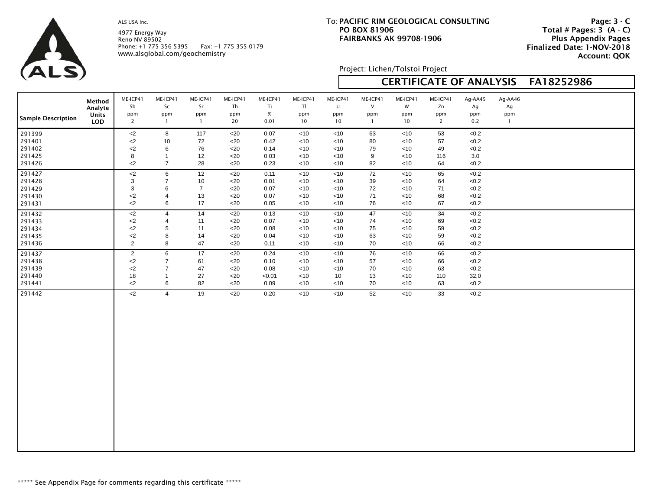4977 Energy Way Reno NV 89502 Phone: +1 775 356 5395 Fax: +1 775 355 0179 www.alsglobal.com/geochemistry

# **PACIFIC RIM GEOLOGICAL CONSULTING**To: **PO BOX 81906FAIRBANKS AK 99708-1906**

 **Page: 3 - C Total # Pages: 3 (A - C) Plus Appendix Pages Finalized Date: 1-NOV-2018 Account: QOK**

| ALS)                                           |                                                 | Reno NV 89502                                        | Phone: +1 775 356 5395<br>www.alsglobal.com/geochemistry   |                                        | Fax: +1 775 355 0179                               |                                        |                                         |                                        |                                           | <b>FAINDAINNS AN 99700-1900</b>                |                                         |                                          |                                      | <b>FIUS Appelluix Fages</b><br>Finalized Date: 1-NOV-2018<br><b>Account: QOK</b> |
|------------------------------------------------|-------------------------------------------------|------------------------------------------------------|------------------------------------------------------------|----------------------------------------|----------------------------------------------------|----------------------------------------|-----------------------------------------|----------------------------------------|-------------------------------------------|------------------------------------------------|-----------------------------------------|------------------------------------------|--------------------------------------|----------------------------------------------------------------------------------|
|                                                |                                                 |                                                      |                                                            |                                        |                                                    |                                        |                                         |                                        | Project: Lichen/Tolstoi Project           |                                                |                                         |                                          |                                      |                                                                                  |
|                                                |                                                 |                                                      |                                                            |                                        |                                                    |                                        |                                         |                                        |                                           |                                                |                                         | <b>CERTIFICATE OF ANALYSIS</b>           |                                      | FA18252986                                                                       |
| <b>Sample Description</b>                      | Method<br>Analyte<br><b>Units</b><br><b>LOD</b> | ME-ICP41<br>Sb<br>ppm<br>$\overline{2}$              | ME-ICP41<br>Sc<br>ppm<br>$\mathbf{1}$                      | ME-ICP41<br>Sr<br>ppm<br>$\mathbf{1}$  | ME-ICP41<br>Th<br>ppm<br>20                        | ME-ICP41<br>Ti<br>%<br>0.01            | ME-ICP41<br>TI<br>ppm<br>10             | ME-ICP41<br>U<br>ppm<br>10             | ME-ICP41<br>$\vee$<br>ppm<br>$\mathbf{1}$ | ME-ICP41<br>W<br>ppm<br>10                     | ME-ICP41<br>Zn<br>ppm<br>$\overline{2}$ | Ag-AA45<br>Ag<br>ppm<br>0.2              | Ag-AA46<br>Ag<br>ppm<br>$\mathbf{1}$ |                                                                                  |
| 291399<br>291401<br>291402<br>291425<br>291426 |                                                 | $<$ 2<br>$<$ 2<br>$<$ 2<br>8<br>$2$                  | 8<br>10<br>6<br>$\mathbf{1}$<br>$\overline{7}$             | 117<br>72<br>76<br>12<br>28            | $<$ 20<br>$20$<br>$<$ 20<br>$20$<br>$<$ 20         | 0.07<br>0.42<br>0.14<br>0.03<br>0.23   | <10<br>$<$ 10<br>$<$ 10<br>< 10<br>< 10 | < 10<br>< 10<br>~10<br>< 10<br>< 10    | 63<br>80<br>79<br>9<br>82                 | $<$ 10<br>$<$ 10<br>$<$ 10<br>$<$ 10<br>$<$ 10 | 53<br>57<br>49<br>116<br>64             | <0.2<br>< 0.2<br><0.2<br>3.0<br>< 0.2    |                                      |                                                                                  |
| 291427<br>291428<br>291429<br>291430<br>291431 |                                                 | $\overline{c}$<br>3<br>3<br>$2$<br>$<$ 2             | $\sqrt{6}$<br>$\overline{7}$<br>6<br>$\overline{4}$<br>6   | 12<br>10<br>$\overline{7}$<br>13<br>17 | $\overline{520}$<br>$20$<br>$20$<br>$<$ 20<br>$20$ | 0.11<br>0.01<br>0.07<br>0.07<br>0.05   | <10<br>< 10<br>< 10<br>$<$ 10<br>< 10   | <10<br>< 10<br>< 10<br>~10<br>< 10     | 72<br>39<br>72<br>71<br>76                | <10<br>$<$ 10<br>$<$ 10<br>$<$ 10<br>$<$ 10    | 65<br>64<br>71<br>68<br>67              | <0.2<br>< 0.2<br>< 0.2<br>< 0.2<br><0.2  |                                      |                                                                                  |
| 291432<br>291433<br>291434<br>291435<br>291436 |                                                 | ${<}2$<br>$<$ 2<br>${<}2$<br>$<$ 2<br>$\overline{2}$ | $\overline{4}$<br>4<br>5<br>8<br>8                         | 14<br>11<br>11<br>14<br>47             | $<$ 20<br>$<$ 20<br>$<$ 20<br>$20$<br>$<$ 20       | 0.13<br>0.07<br>0.08<br>0.04<br>0.11   | $<$ 10<br>< 10<br>< 10<br><10<br><10    | < 10<br>< 10<br>< 10<br>$<$ 10<br>< 10 | 47<br>74<br>75<br>63<br>70                | < 10<br>< 10<br>$<$ 10<br>$<$ 10<br>$<$ 10     | 34<br>69<br>59<br>59<br>66              | < 0.2<br>< 0.2<br>< 0.2<br><0.2<br>< 0.2 |                                      |                                                                                  |
| 291437<br>291438<br>291439<br>291440<br>291441 |                                                 | $\mathbf{2}$<br>$<$ 2<br>$<$ 2<br>18<br>$2$          | 6<br>$\overline{7}$<br>$\overline{7}$<br>$\mathbf{1}$<br>6 | 17<br>61<br>47<br>27<br>82             | <20<br>$<$ 20<br>$<$ 20<br>$<$ 20<br>$<$ 20        | 0.24<br>0.10<br>0.08<br>< 0.01<br>0.09 | <10<br>$<$ 10<br>< 10<br><10<br><10     | < 10<br>< 10<br>< 10<br>10<br>$<10$    | 76<br>57<br>70<br>13<br>70                | $<$ 10<br>$<$ 10<br>$<$ 10<br>~10<br>$<$ 10    | 66<br>66<br>63<br>110<br>63             | <0.2<br><0.2<br>< 0.2<br>32.0<br><0.2    |                                      |                                                                                  |
| 291442                                         |                                                 | $2$                                                  | $\overline{4}$                                             | 19                                     | $<$ 20                                             | 0.20                                   | $<$ 10                                  | < 10                                   | 52                                        | $<$ 10                                         | 33                                      | <0.2                                     |                                      |                                                                                  |